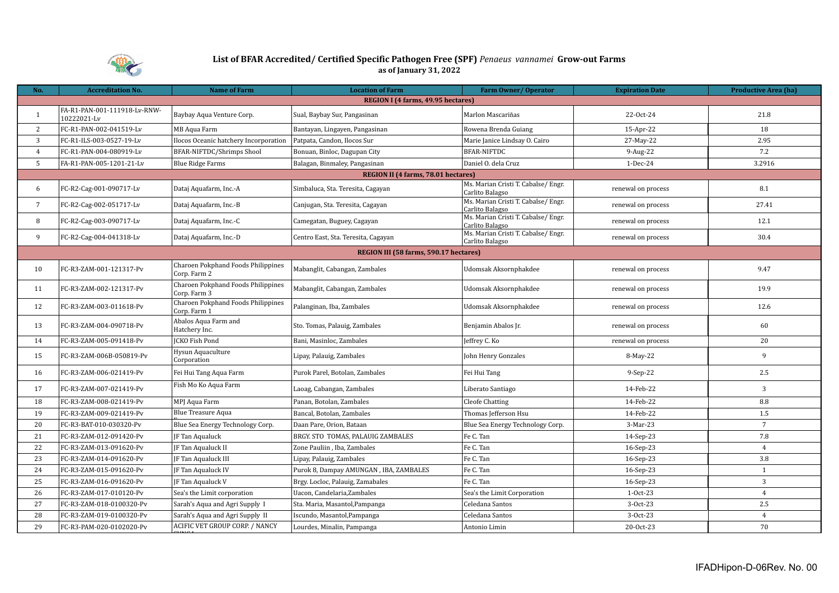

## **List of BFAR Accredited/ Certified Specific Pathogen Free (SPF)** *Penaeus vannamei* **Grow-out Farms as of January 31, 2022**

| No.             | <b>Accreditation No.</b>                    | <b>Name of Farm</b>                                       | <b>Location of Farm</b>                | Farm Owner/Operator                                    | <b>Expiration Date</b> | <b>Productive Area (ha)</b> |
|-----------------|---------------------------------------------|-----------------------------------------------------------|----------------------------------------|--------------------------------------------------------|------------------------|-----------------------------|
|                 |                                             |                                                           | REGION I (4 farms, 49.95 hectares)     |                                                        |                        |                             |
| $\overline{1}$  | FA-R1-PAN-001-111918-Lv-RNW-<br>10222021-Lv | Baybay Aqua Venture Corp.                                 | Sual, Baybay Sur, Pangasinan           | Marlon Mascariñas                                      | 22-Oct-24              | 21.8                        |
| 2               | FC-R1-PAN-002-041519-Lv                     | MB Aqua Farm                                              | Bantayan, Lingayen, Pangasinan         | Rowena Brenda Guiang                                   | 15-Apr-22              | 18                          |
| 3               | FC-R1-ILS-003-0527-19-Lv                    | Ilocos Oceanic hatchery Incorporation                     | Patpata, Candon, Ilocos Sur            | Marie Janice Lindsay O. Cairo                          | 27-May-22              | 2.95                        |
| $\overline{4}$  | FC-R1-PAN-004-080919-Lv                     | BFAR-NIFTDC/Shrimps Shool                                 | Bonuan, Binloc, Dagupan City           | <b>BFAR-NIFTDC</b>                                     | 9-Aug-22               | 7.2                         |
| 5               | FA-R1-PAN-005-1201-21-Lv                    | <b>Blue Ridge Farms</b>                                   | Balagan, Binmaley, Pangasinan          | Daniel O. dela Cruz                                    | 1-Dec-24               | 3.2916                      |
|                 |                                             |                                                           | REGION II (4 farms, 78.01 hectares)    |                                                        |                        |                             |
| 6               | FC-R2-Cag-001-090717-Lv                     | Dataj Aquafarm, Inc.-A                                    | Simbaluca, Sta. Teresita, Cagayan      | Ms. Marian Cristi T. Cabalse/ Engr.<br>Carlito Balagso | renewal on process     | 8.1                         |
| $7\overline{ }$ | FC-R2-Cag-002-051717-Lv                     | Dataj Aquafarm, Inc.-B                                    | Canjugan, Sta. Teresita, Cagayan       | Ms. Marian Cristi T. Cabalse/ Engr.<br>Carlito Balagso | renewal on process     | 27.41                       |
| 8               | FC-R2-Cag-003-090717-Lv                     | Dataj Aquafarm, Inc.-C                                    | Camegatan, Buguey, Cagayan             | Ms. Marian Cristi T. Cabalse/ Engr.<br>Carlito Balagso | renewal on process     | 12.1                        |
| 9               | FC-R2-Cag-004-041318-Lv                     | Dataj Aquafarm, Inc.-D                                    | Centro East, Sta. Teresita, Cagayan    | Ms. Marian Cristi T. Cabalse/ Engr.<br>Carlito Balagso | renewal on process     | 30.4                        |
|                 |                                             |                                                           | REGION III (58 farms, 590.17 hectares) |                                                        |                        |                             |
| 10              | FC-R3-ZAM-001-121317-Pv                     | <b>Charoen Pokphand Foods Philippines</b><br>Corp. Farm 2 | Mabanglit, Cabangan, Zambales          | Udomsak Aksornphakdee                                  | renewal on process     | 9.47                        |
| 11              | FC-R3-ZAM-002-121317-Pv                     | Charoen Pokphand Foods Philippines<br>Corp. Farm 3        | Mabanglit, Cabangan, Zambales          | <b>Udomsak Aksornphakdee</b>                           | renewal on process     | 19.9                        |
| 12              | FC-R3-ZAM-003-011618-Pv                     | Charoen Pokphand Foods Philippines<br>Corp. Farm 1        | Palanginan, Iba, Zambales              | Udomsak Aksornphakdee                                  | renewal on process     | 12.6                        |
| 13              | FC-R3-ZAM-004-090718-Pv                     | Abalos Aqua Farm and<br>Hatchery Inc.                     | Sto. Tomas, Palauig, Zambales          | Benjamin Abalos Jr.                                    | renewal on process     | 60                          |
| 14              | FC-R3-ZAM-005-091418-Pv                     | <b>ICKO Fish Pond</b>                                     | Bani, Masinloc, Zambales               | Jeffrey C. Ko                                          | renewal on process     | 20                          |
| 15              | FC-R3-ZAM-006B-050819-Pv                    | Hysun Aquaculture<br>Corporation                          | Lipay, Palauig, Zambales               | John Henry Gonzales                                    | 8-May-22               | 9                           |
| 16              | FC-R3-ZAM-006-021419-Pv                     | Fei Hui Tang Aqua Farm                                    | Purok Parel, Botolan, Zambales         | Fei Hui Tang                                           | $9-Sep-22$             | 2.5                         |
| 17              | FC-R3-ZAM-007-021419-Pv                     | Fish Mo Ko Aqua Farm                                      | Laoag, Cabangan, Zambales              | Liberato Santiago                                      | 14-Feb-22              | $\overline{3}$              |
| 18              | FC-R3-ZAM-008-021419-Pv                     | MPJ Aqua Farm                                             | Panan, Botolan, Zambales               | <b>Cleofe Chatting</b>                                 | 14-Feb-22              | 8.8                         |
| 19              | FC-R3-ZAM-009-021419-Pv                     | <b>Blue Treasure Aqua</b>                                 | Bancal, Botolan, Zambales              | Thomas Jefferson Hsu                                   | 14-Feb-22              | 1.5                         |
| 20              | FC-R3-BAT-010-030320-Pv                     | Blue Sea Energy Technology Corp.                          | Daan Pare, Orion, Bataan               | Blue Sea Energy Technology Corp.                       | 3-Mar-23               | $7\overline{ }$             |
| 21              | FC-R3-ZAM-012-091420-Pv                     | JF Tan Aqualuck                                           | BRGY. STO TOMAS, PALAUIG ZAMBALES      | Fe C. Tan                                              | 14-Sep-23              | 7.8                         |
| 22              | FC-R3-ZAM-013-091620-Pv                     | <b>F</b> Tan Aqualuck II                                  | Zone Pauliin, Iba, Zambales            | Fe C. Tan                                              | 16-Sep-23              | $\overline{4}$              |
| 23              | FC-R3-ZAM-014-091620-Pv                     | JF Tan Aqualuck III                                       | Lipay, Palauig, Zambales               | Fe C. Tan                                              | 16-Sep-23              | 3.8                         |
| 24              | FC-R3-ZAM-015-091620-Pv                     | <b>F</b> Tan Aqualuck IV                                  | Purok 8, Dampay AMUNGAN, IBA, ZAMBALES | Fe C. Tan                                              | 16-Sep-23              | -1                          |
| 25              | FC-R3-ZAM-016-091620-Pv                     | <b>F</b> Tan Aqualuck V                                   | Brgy. Locloc, Palauig, Zamabales       | Fe C. Tan                                              | 16-Sep-23              | 3                           |
| 26              | FC-R3-ZAM-017-010120-Pv                     | Sea's the Limit corporation                               | Uacon, Candelaria, Zambales            | Sea's the Limit Corporation                            | $1-0ct-23$             | $\overline{4}$              |
| 27              | FC-R3-ZAM-018-0100320-Pv                    | Sarah's Aqua and Agri Supply I                            | Sta. Maria, Masantol, Pampanga         | Celedana Santos                                        | 3-Oct-23               | 2.5                         |
| 28              | FC-R3-ZAM-019-0100320-Pv                    | Sarah's Aqua and Agri Supply II                           | Iscundo, Masantol, Pampanga            | Celedana Santos                                        | 3-Oct-23               | $\overline{4}$              |
| 29              | FC-R3-PAM-020-0102020-Pv                    | ACIFIC VET GROUP CORP. / NANCY                            | Lourdes, Minalin, Pampanga             | Antonio Limin                                          | 20-Oct-23              | 70                          |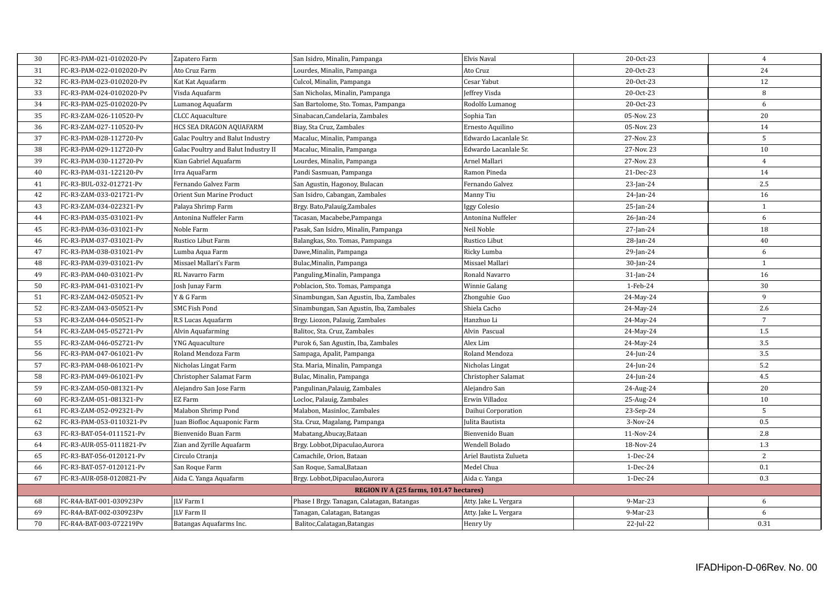| 30 | FC-R3-PAM-021-0102020-Pv | Zapatero Farm                       | San Isidro, Minalin, Pampanga              | <b>Elvis Naval</b>     | 20-Oct-23    | $\overline{4}$ |
|----|--------------------------|-------------------------------------|--------------------------------------------|------------------------|--------------|----------------|
| 31 | FC-R3-PAM-022-0102020-Pv | Ato Cruz Farm                       | Lourdes, Minalin, Pampanga                 | Ato Cruz               | 20-Oct-23    | 24             |
| 32 | FC-R3-PAM-023-0102020-Pv | Kat Kat Aquafarm                    | Culcol, Minalin, Pampanga                  | Cesar Yabut            | 20-Oct-23    | 12             |
| 33 | FC-R3-PAM-024-0102020-Pv | Visda Aquafarm                      | San Nicholas, Minalin, Pampanga            | Jeffrey Visda          | 20-Oct-23    | 8              |
| 34 | FC-R3-PAM-025-0102020-Pv | Lumanog Aquafarm                    | San Bartolome, Sto. Tomas, Pampanga        | Rodolfo Lumanog        | 20-Oct-23    | 6              |
| 35 | FC-R3-ZAM-026-110520-Pv  | <b>CLCC Aquaculture</b>             | Sinabacan, Candelaria, Zambales            | Sophia Tan             | 05-Nov. 23   | 20             |
| 36 | FC-R3-ZAM-027-110520-Pv  | HCS SEA DRAGON AQUAFARM             | Biay, Sta Cruz, Zambales                   | Ernesto Aquilino       | 05-Nov. 23   | 14             |
| 37 | FC-R3-PAM-028-112720-Pv  | Galac Poultry and Balut Industry    | Macaluc, Minalin, Pampanga                 | Edwardo Lacanlale Sr.  | 27-Nov. 23   | 5              |
| 38 | FC-R3-PAM-029-112720-Pv  | Galac Poultry and Balut Industry II | Macaluc, Minalin, Pampanga                 | Edwardo Lacanlale Sr.  | 27-Nov. 23   | 10             |
| 39 | FC-R3-PAM-030-112720-Pv  | Kian Gabriel Aquafarm               | Lourdes, Minalin, Pampanga                 | Arnel Mallari          | 27-Nov. 23   | $\overline{4}$ |
| 40 | FC-R3-PAM-031-122120-Pv  | Irra AquaFarm                       | Pandi Sasmuan, Pampanga                    | Ramon Pineda           | 21-Dec-23    | 14             |
| 41 | FC-R3-BUL-032-012721-Pv  | Fernando Galvez Farm                | San Agustin, Hagonoy, Bulacan              | Fernando Galvez        | 23-Jan-24    | 2.5            |
| 42 | FC-R3-ZAM-033-021721-Pv  | Orient Sun Marine Product           | San Isidro, Cabangan, Zambales             | Manny Tiu              | 24-Jan-24    | 16             |
| 43 | FC-R3-ZAM-034-022321-Pv  | Palaya Shrimp Farm                  | Brgy. Bato, Palauig, Zambales              | Iggy Colesio           | 25-Jan-24    | $\mathbf{1}$   |
| 44 | FC-R3-PAM-035-031021-Pv  | Antonina Nuffeler Farm              | Tacasan, Macabebe, Pampanga                | Antonina Nuffeler      | $26$ -Jan-24 | 6              |
| 45 | FC-R3-PAM-036-031021-Pv  | Noble Farm                          | Pasak, San Isidro, Minalin, Pampanga       | Neil Noble             | 27-Jan-24    | 18             |
| 46 | FC-R3-PAM-037-031021-Pv  | Rustico Libut Farm                  | Balangkas, Sto. Tomas, Pampanga            | Rustico Libut          | 28-Jan-24    | 40             |
| 47 | FC-R3-PAM-038-031021-Pv  | Lumba Aqua Farm                     | Dawe, Minalin, Pampanga                    | Ricky Lumba            | 29-Jan-24    | 6              |
| 48 | FC-R3-PAM-039-031021-Pv  | Missael Mallari's Farm              | Bulac, Minalin, Pampanga                   | Missael Mallari        | $30$ -Jan-24 | 1              |
| 49 | FC-R3-PAM-040-031021-Pv  | RL Navarro Farm                     | Panguling, Minalin, Pampanga               | Ronald Navarro         | $31$ -Jan-24 | 16             |
| 50 | FC-R3-PAM-041-031021-Pv  | Josh Junay Farm                     | Poblacion, Sto. Tomas, Pampanga            | Winnie Galang          | 1-Feb-24     | 30             |
| 51 | FC-R3-ZAM-042-050521-Pv  | Y & G Farm                          | Sinambungan, San Agustin, Iba, Zambales    | Zhonguhie Guo          | 24-May-24    | 9              |
| 52 | FC-R3-ZAM-043-050521-Pv  | <b>SMC Fish Pond</b>                | Sinambungan, San Agustin, Iba, Zambales    | Shiela Cacho           | 24-May-24    | 2.6            |
| 53 | FC-R3-ZAM-044-050521-Pv  | R.S Lucas Aquafarm                  | Brgy. Liozon, Palauig, Zambales            | Hanzhuo Li             | 24-May-24    | $\overline{7}$ |
| 54 | FC-R3-ZAM-045-052721-Pv  | Alvin Aquafarming                   | Balitoc, Sta. Cruz, Zambales               | Alvin Pascual          | 24-May-24    | 1.5            |
| 55 | FC-R3-ZAM-046-052721-Pv  | <b>YNG Aquaculture</b>              | Purok 6, San Agustin, Iba, Zambales        | Alex Lim               | 24-May-24    | 3.5            |
| 56 | FC-R3-PAM-047-061021-Pv  | Roland Mendoza Farm                 | Sampaga, Apalit, Pampanga                  | Roland Mendoza         | 24-Jun-24    | 3.5            |
| 57 | FC-R3-PAM-048-061021-Pv  | Nicholas Lingat Farm                | Sta. Maria, Minalin, Pampanga              | Nicholas Lingat        | 24-Jun-24    | $5.2\,$        |
| 58 | FC-R3-PAM-049-061021-Pv  | Christopher Salamat Farm            | Bulac, Minalin, Pampanga                   | Christopher Salamat    | 24-Jun-24    | 4.5            |
| 59 | FC-R3-ZAM-050-081321-Pv  | Alejandro San Jose Farm             | Pangulinan, Palauig, Zambales              | Alejandro San          | 24-Aug-24    | 20             |
| 60 | FC-R3-ZAM-051-081321-Pv  | EZ Farm                             | Locloc, Palauig, Zambales                  | Erwin Villadoz         | 25-Aug-24    | 10             |
| 61 | FC-R3-ZAM-052-092321-Pv  | Malabon Shrimp Pond                 | Malabon, Masinloc, Zambales                | Daihui Corporation     | 23-Sep-24    | 5              |
| 62 | FC-R3-PAM-053-0110321-Pv | Juan Biofloc Aquaponic Farm         | Sta. Cruz, Magalang, Pampanga              | Julita Bautista        | 3-Nov-24     | 0.5            |
| 63 | FC-R3-BAT-054-0111521-Pv | Bienvenido Buan Farm                | Mabatang, Abucay, Bataan                   | Bienvenido Buan        | 11-Nov-24    | 2.8            |
| 64 | FC-R3-AUR-055-0111821-Pv | Zian and Zyrille Aquafarm           | Brgy. Lobbot, Dipaculao, Aurora            | Wendell Bolado         | 18-Nov-24    | 1.3            |
| 65 | FC-R3-BAT-056-0120121-Pv | Circulo Ctranja                     | Camachile, Orion, Bataan                   | Ariel Bautista Zulueta | 1-Dec-24     | $\overline{2}$ |
| 66 | FC-R3-BAT-057-0120121-Pv | San Roque Farm                      | San Roque, Samal, Bataan                   | Medel Chua             | 1-Dec-24     | 0.1            |
| 67 | FC-R3-AUR-058-0120821-Pv | Aida C. Yanga Aquafarm              | Brgy. Lobbot, Dipaculao, Aurora            | Aida c. Yanga          | 1-Dec-24     | 0.3            |
|    |                          |                                     | REGION IV A (25 farms, 101.47 hectares)    |                        |              |                |
| 68 | FC-R4A-BAT-001-030923Pv  | <b>ILV</b> Farm I                   | Phase I Brgy. Tanagan, Calatagan, Batangas | Atty. Jake L. Vergara  | 9-Mar-23     | 6              |
| 69 | FC-R4A-BAT-002-030923Pv  | <b>ILV Farm II</b>                  | Tanagan, Calatagan, Batangas               | Atty. Jake L. Vergara  | 9-Mar-23     | 6              |
| 70 | FC-R4A-BAT-003-072219Pv  | Batangas Aquafarms Inc.             | Balitoc, Calatagan, Batangas               | Henry Uy               | 22-Jul-22    | 0.31           |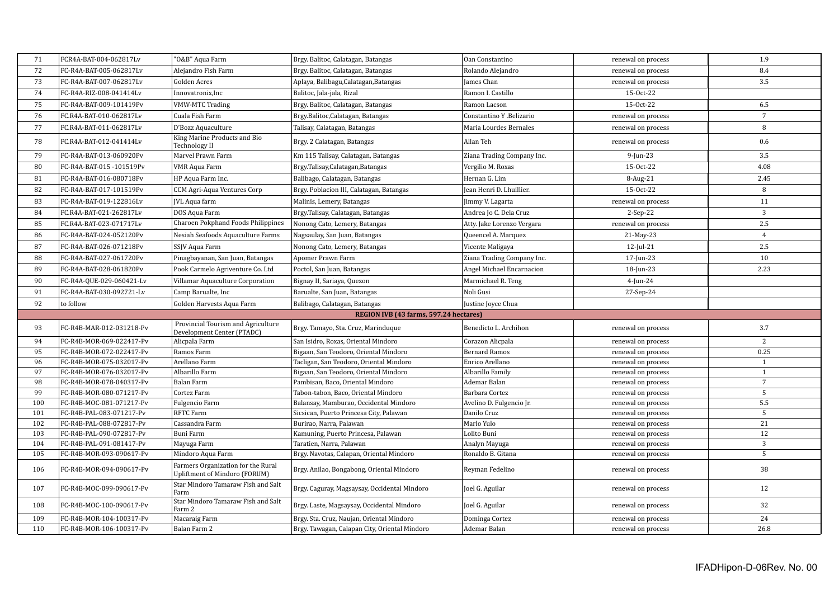| 71         | FCR4A-BAT-004-062817Lv                               | "O&B" Aqua Farm                                                     | Brgy. Balitoc, Calatagan, Batangas                                                         | Oan Constantino                | renewal on process                       | 1.9            |
|------------|------------------------------------------------------|---------------------------------------------------------------------|--------------------------------------------------------------------------------------------|--------------------------------|------------------------------------------|----------------|
| 72         | FC-R4A-BAT-005-062817Lv                              | Alejandro Fish Farm                                                 | Brgy. Balitoc, Calatagan, Batangas                                                         | Rolando Alejandro              | renewal on process                       | 8.4            |
| 73         | FC-R4A-BAT-007-062817Lv                              | <b>Golden Acres</b>                                                 | Aplaya, Balibagu, Calatagan, Batangas                                                      | James Chan                     | renewal on process                       | 3.5            |
| 74         | FC-R4A-RIZ-008-041414Lv                              | Innovatronix, Inc                                                   | Balitoc, Jala-jala, Rizal                                                                  | Ramon I. Castillo              | 15-Oct-22                                |                |
| 75         | FC-R4A-BAT-009-101419Pv                              | <b>VMW-MTC Trading</b>                                              | Brgy. Balitoc, Calatagan, Batangas                                                         | Ramon Lacson                   | 15-Oct-22                                | 6.5            |
| 76         | FC.R4A-BAT-010-062817Lv                              | Cuala Fish Farm                                                     | Brgy.Balitoc,Calatagan, Batangas                                                           | Constantino Y .Belizario       | renewal on process                       | $\overline{7}$ |
| 77         | FC.R4A-BAT-011-062817Lv                              | D'Bozz Aquaculture                                                  | Talisay, Calatagan, Batangas                                                               | Maria Lourdes Bernales         | renewal on process                       | 8              |
| 78         | FC.R4A-BAT-012-041414Lv                              | King Marine Products and Bio<br><b>Technology II</b>                | Brgy. 2 Calatagan, Batangas                                                                | Allan Teh                      | renewal on process                       | 0.6            |
| 79         | FC-R4A-BAT-013-060920Pv                              | Marvel Prawn Farm                                                   | Km 115 Talisay, Calatagan, Batangas                                                        | Ziana Trading Company Inc.     | $9$ -Jun-23                              | 3.5            |
| 80         | FC-R4A-BAT-015-101519Pv                              | <b>VMR Aqua Farm</b>                                                | Brgy.Talisay,Calatagan,Batangas                                                            | Vergilio M. Roxas              | 15-Oct-22                                | 4.08           |
| 81         | FC-R4A-BAT-016-080718Pv                              | HP Aqua Farm Inc.                                                   | Balibago, Calatagan, Batangas                                                              | Hernan G. Lim                  | 8-Aug-21                                 | 2.45           |
| 82         | FC-R4A-BAT-017-101519Pv                              | CCM Agri-Aqua Ventures Corp                                         | Brgy. Poblacion III, Calatagan, Batangas                                                   | Jean Henri D. Lhuillier.       | 15-Oct-22                                | 8              |
| 83         | FC-R4A-BAT-019-122816Lv                              | <b>JVL</b> Aqua farm                                                | Malinis, Lemery, Batangas                                                                  | Jimmy V. Lagarta               | renewal on process                       | 11             |
| 84         | FC.R4A-BAT-021-262817Lv                              | DOS Aqua Farm                                                       | Brgy.Talisay, Calatagan, Batangas                                                          | Andrea Jo C. Dela Cruz         | $2-Sep-22$                               | 3              |
| 85         | FC.R4A-BAT-023-071717Lv                              | <b>Charoen Pokphand Foods Philippines</b>                           | Nonong Cato, Lemery, Batangas                                                              | Atty. Jake Lorenzo Vergara     | renewal on process                       | 2.5            |
| 86         | FC-R4A-BAT-024-052120Pv                              | Nesiah Seafoods Aquaculture Farms                                   | Nagsaulay, San Juan, Batangas                                                              | Queencel A. Marquez            | 21-May-23                                | $\overline{4}$ |
| 87         | FC-R4A-BAT-026-071218Pv                              | SSJV Aqua Farm                                                      | Nonong Cato, Lemery, Batangas                                                              | Vicente Maligaya               | $12$ -Jul-21                             | 2.5            |
| 88         | FC-R4A-BAT-027-061720Pv                              | Pinagbayanan, San Juan, Batangas                                    | Apomer Prawn Farm                                                                          | Ziana Trading Company Inc.     | 17-Jun-23                                | 10             |
| 89         | FC-R4A-BAT-028-061820Pv                              | Pook Carmelo Agriventure Co. Ltd                                    | Poctol, San Juan, Batangas                                                                 | Angel Michael Encarnacion      | $18$ -Jun-23                             | 2.23           |
| 90         | FC-R4A-QUE-029-060421-Lv                             | Villamar Aquaculture Corporation                                    | Bignay II, Sariaya, Quezon                                                                 | Marmichael R. Teng             | $4$ -Jun-24                              |                |
| 91         | FC-R4A-BAT-030-092721-Lv                             | Camp Barualte, Inc                                                  | Barualte, San Juan, Batangas                                                               | Noli Gusi                      | 27-Sep-24                                |                |
|            |                                                      |                                                                     |                                                                                            |                                |                                          |                |
|            |                                                      |                                                                     |                                                                                            |                                |                                          |                |
| 92         | to follow                                            | Golden Harvests Aqua Farm                                           | Balibago, Calatagan, Batangas                                                              | Justine Joyce Chua             |                                          |                |
|            |                                                      |                                                                     | REGION IVB (43 farms, 597.24 hectares)                                                     |                                |                                          |                |
| 93         | FC-R4B-MAR-012-031218-Pv                             | Provincial Tourism and Agriculture<br>Development Center (PTADC)    | Brgy. Tamayo, Sta. Cruz, Marinduque                                                        | Benedicto L. Archihon          | renewal on process                       | 3.7            |
| 94         | FC-R4B-MOR-069-022417-Pv                             | Alicpala Farm                                                       | San Isidro, Roxas, Oriental Mindoro                                                        | Corazon Alicpala               | renewal on process                       | $\overline{2}$ |
| 95         | FC-R4B-MOR-072-022417-Pv                             | Ramos Farm                                                          | Bigaan, San Teodoro, Oriental Mindoro                                                      | <b>Bernard Ramos</b>           | renewal on process                       | 0.25           |
| 96         | FC-R4B-MOR-075-032017-Pv                             | Arellano Farm                                                       | Tacligan, San Teodoro, Oriental Mindoro                                                    | Enrico Arellano                | renewal on process                       | $\mathbf{1}$   |
| 97         | FC-R4B-MOR-076-032017-Pv                             | Albarillo Farm                                                      | Bigaan, San Teodoro, Oriental Mindoro                                                      | Albarillo Family               | renewal on process                       | $\mathbf{1}$   |
| 98         | FC-R4B-MOR-078-040317-Pv                             | <b>Balan Farm</b>                                                   | Pambisan, Baco, Oriental Mindoro                                                           | Ademar Balan                   | renewal on process                       | $\overline{7}$ |
| 99         | FC-R4B-MOR-080-071217-Pv                             | Cortez Farm                                                         | Tabon-tabon, Baco, Oriental Mindoro                                                        | Barbara Cortez                 | renewal on process                       | 5              |
| 100        | FC-R4B-MOC-081-071217-Pv                             | Fulgencio Farm                                                      | Balansay, Mamburao, Occidental Mindoro                                                     | Avelino D. Fulgencio Jr.       | renewal on process                       | 5.5            |
| 101        | FC-R4B-PAL-083-071217-Pv                             | RFTC Farm                                                           | Sicsican, Puerto Princesa City, Palawan                                                    | Danilo Cruz                    | renewal on process                       | 5              |
| 102        | FC-R4B-PAL-088-072817-Pv                             | Cassandra Farm                                                      | Burirao, Narra, Palawan                                                                    | Marlo Yulo                     | renewal on process                       | 21             |
| 103        | FC-R4B-PAL-090-072817-Pv                             | <b>Buni Farm</b>                                                    | Kamuning, Puerto Princesa, Palawan                                                         | Lolito Buni                    | renewal on process                       | 12             |
| 104        | FC-R4B-PAL-091-081417-Pv                             | Mayuga Farm                                                         | Taratien, Narra, Palawan                                                                   | Analyn Mayuga                  | renewal on process                       | 3              |
| 105        | FC-R4B-MOR-093-090617-Pv                             | Mindoro Aqua Farm                                                   | Brgy. Navotas, Calapan, Oriental Mindoro                                                   | Ronaldo B. Gitana              | renewal on process                       | 5              |
| 106        | FC-R4B-MOR-094-090617-Pv                             | Farmers Organization for the Rural<br>Upliftment of Mindoro (FORUM) | Brgy. Anilao, Bongabong, Oriental Mindoro                                                  | Reyman Fedelino                | renewal on process                       | 38             |
| 107        | FC-R4B-MOC-099-090617-Pv                             | Star Mindoro Tamaraw Fish and Salt<br>Farm                          | Brgy. Caguray, Magsaysay, Occidental Mindoro                                               | Joel G. Aguilar                | renewal on process                       | 12             |
| 108        | FC-R4B-MOC-100-090617-Pv                             | Star Mindoro Tamaraw Fish and Salt<br>Farm 2                        | Brgy. Laste, Magsaysay, Occidental Mindoro                                                 | Joel G. Aguilar                | renewal on process                       | 32             |
| 109<br>110 | FC-R4B-MOR-104-100317-Pv<br>FC-R4B-MOR-106-100317-Pv | Macaraig Farm<br>Balan Farm 2                                       | Brgy. Sta. Cruz, Naujan, Oriental Mindoro<br>Brgy. Tawagan, Calapan City, Oriental Mindoro | Dominga Cortez<br>Ademar Balan | renewal on process<br>renewal on process | 24<br>26.8     |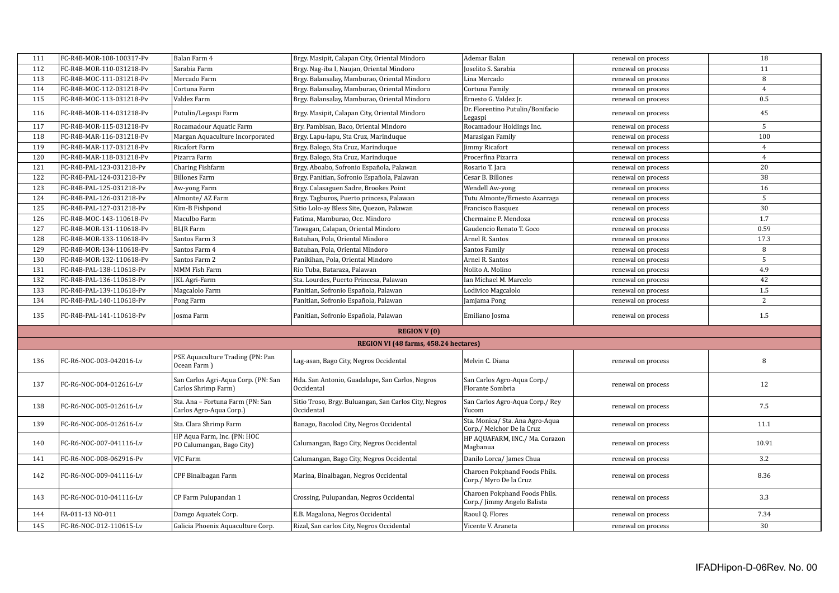| 111 | FC-R4B-MOR-108-100317-Pv | Balan Farm 4                                                | Brgy. Masipit, Calapan City, Oriental Mindoro                       | Ademar Balan                                                 | renewal on process | 18             |
|-----|--------------------------|-------------------------------------------------------------|---------------------------------------------------------------------|--------------------------------------------------------------|--------------------|----------------|
| 112 | FC-R4B-MOR-110-031218-Pv | Sarabia Farm                                                | Brgy. Nag-iba I, Naujan, Oriental Mindoro                           | Joselito S. Sarabia                                          | renewal on process | 11             |
| 113 | FC-R4B-MOC-111-031218-Pv | Mercado Farm                                                | Brgy. Balansalay, Mamburao, Oriental Mindoro                        | Lina Mercado                                                 | renewal on process | 8              |
| 114 | FC-R4B-MOC-112-031218-Pv | Cortuna Farm                                                | Brgy. Balansalay, Mamburao, Oriental Mindoro                        | Cortuna Family                                               | renewal on process | $\overline{4}$ |
| 115 | FC-R4B-MOC-113-031218-Pv | Valdez Farm                                                 | Brgy. Balansalay, Mamburao, Oriental Mindoro                        | Ernesto G. Valdez Jr.                                        | renewal on process | 0.5            |
| 116 | FC-R4B-MOR-114-031218-Pv | Putulin/Legaspi Farm                                        | Brgy. Masipit, Calapan City, Oriental Mindoro                       | Dr. Florentino Putulin/Bonifacio<br>Legaspi                  | renewal on process | 45             |
| 117 | FC-R4B-MOR-115-031218-Pv | Rocamadour Aquatic Farm                                     | Bry. Pambisan, Baco, Oriental Mindoro                               | Rocamadour Holdings Inc.                                     | renewal on process | 5              |
| 118 | FC-R4B-MAR-116-031218-Pv | Margan Aquaculture Incorporated                             | Brgy. Lapu-lapu, Sta Cruz, Marinduque                               | Marasigan Family                                             | renewal on process | 100            |
| 119 | FC-R4B-MAR-117-031218-Pv | Ricafort Farm                                               | Brgy. Balogo, Sta Cruz, Marinduque                                  | <b>Jimmy Ricafort</b>                                        | renewal on process | $\overline{4}$ |
| 120 | FC-R4B-MAR-118-031218-Pv | Pizarra Farm                                                | Brgy. Balogo, Sta Cruz, Marinduque                                  | Procerfina Pizarra                                           | renewal on process | $\overline{4}$ |
| 121 | FC-R4B-PAL-123-031218-Pv | Charing Fishfarm                                            | Brgy. Aboabo, Sofronio Española, Palawan                            | Rosario T. Jara                                              | renewal on process | 20             |
| 122 | FC-R4B-PAL-124-031218-Pv | <b>Billones Farm</b>                                        | Brgy. Panitian, Sofronio Española, Palawan                          | Cesar B. Billones                                            | renewal on process | 38             |
| 123 | FC-R4B-PAL-125-031218-Pv | Aw-yong Farm                                                | Brgy. Calasaguen Sadre, Brookes Point                               | Wendell Aw-yong                                              | renewal on process | 16             |
| 124 | FC-R4B-PAL-126-031218-Pv | Almonte/AZ Farm                                             | Brgy. Tagburos, Puerto princesa, Palawan                            | Tutu Almonte/Ernesto Azarraga                                | renewal on process | 5              |
| 125 | FC-R4B-PAL-127-031218-Pv | Kim-B Fishpond                                              | Sitio Lolo-ay Bless Site, Quezon, Palawan                           | Francisco Basquez                                            | renewal on process | 30             |
| 126 | FC-R4B-MOC-143-110618-Pv | Maculbo Farm                                                | Fatima, Mamburao, Occ. Mindoro                                      | Chermaine P. Mendoza                                         | renewal on process | 1.7            |
| 127 | FC-R4B-MOR-131-110618-Pv | <b>BLJR</b> Farm                                            | Tawagan, Calapan, Oriental Mindoro                                  | Gaudencio Renato T. Goco                                     | renewal on process | 0.59           |
| 128 | FC-R4B-MOR-133-110618-Pv | Santos Farm 3                                               | Batuhan, Pola, Oriental Mindoro                                     | Arnel R. Santos                                              | renewal on process | 17.3           |
| 129 | FC-R4B-MOR-134-110618-Pv | Santos Farm 4                                               | Batuhan, Pola, Oriental Mindoro                                     | Santos Family                                                | renewal on process | 8              |
| 130 | FC-R4B-MOR-132-110618-Pv | Santos Farm 2                                               | Panikihan, Pola, Oriental Mindoro                                   | Arnel R. Santos                                              | renewal on process | 5              |
| 131 | FC-R4B-PAL-138-110618-Pv | MMM Fish Farm                                               | Rio Tuba, Bataraza, Palawan                                         | Nolito A. Molino                                             | renewal on process | 4.9            |
| 132 | FC-R4B-PAL-136-110618-Pv | <b>JKL Agri-Farm</b>                                        | Sta. Lourdes, Puerto Princesa, Palawan                              | Ian Michael M. Marcelo                                       | renewal on process | 42             |
| 133 | FC-R4B-PAL-139-110618-Pv | Magcalolo Farm                                              | Panitian, Sofronio Española, Palawan                                | Lodivico Magcalolo                                           | renewal on process | 1.5            |
| 134 | FC-R4B-PAL-140-110618-Pv | Pong Farm                                                   | Panitian, Sofronio Española, Palawan                                | Jamjama Pong                                                 | renewal on process | $\overline{2}$ |
| 135 | FC-R4B-PAL-141-110618-Pv | Josma Farm                                                  | Panitian, Sofronio Española, Palawan                                | Emiliano Josma                                               | renewal on process | 1.5            |
|     |                          |                                                             | <b>REGION V(0)</b>                                                  |                                                              |                    |                |
|     |                          |                                                             | REGION VI (48 farms, 458.24 hectares)                               |                                                              |                    |                |
| 136 | FC-R6-NOC-003-042016-Lv  | PSE Aquaculture Trading (PN: Pan<br>Ocean Farm )            | Lag-asan, Bago City, Negros Occidental                              | Melvin C. Diana                                              | renewal on process | 8              |
| 137 | FC-R6-NOC-004-012616-Lv  | San Carlos Agri-Aqua Corp. (PN: San<br>Carlos Shrimp Farm)  | Hda. San Antonio, Guadalupe, San Carlos, Negros<br>Occidental       | San Carlos Agro-Aqua Corp./<br>Florante Sombria              | renewal on process | 12             |
| 138 | FC-R6-NOC-005-012616-Lv  | Sta. Ana - Fortuna Farm (PN: San<br>Carlos Agro-Aqua Corp.) | Sitio Troso, Brgy. Buluangan, San Carlos City, Negros<br>Occidental | San Carlos Agro-Aqua Corp./ Rey<br>Yucom                     | renewal on process | 7.5            |
| 139 | FC-R6-NOC-006-012616-Lv  | Sta. Clara Shrimp Farm                                      | Banago, Bacolod City, Negros Occidental                             | Sta. Monica/ Sta. Ana Agro-Aqua<br>Corp./ Melchor De la Cruz | renewal on process | 11.1           |
| 140 | FC-R6-NOC-007-041116-Lv  | HP Aqua Farm, Inc. (PN: HOC<br>PO Calumangan, Bago City)    | Calumangan, Bago City, Negros Occidental                            | HP AQUAFARM, INC./ Ma. Corazon<br>Magbanua                   | renewal on process | 10.91          |
| 141 | FC-R6-NOC-008-062916-Pv  | VJC Farm                                                    | Calumangan, Bago City, Negros Occidental                            | Danilo Lorca/ James Chua                                     | renewal on process | 3.2            |
| 142 | FC-R6-NOC-009-041116-Lv  | CPF Binalbagan Farm                                         | Marina, Binalbagan, Negros Occidental                               | Charoen Pokphand Foods Phils.<br>Corp./ Myro De la Cruz      | renewal on process | 8.36           |
| 143 | FC-R6-NOC-010-041116-Lv  | CP Farm Pulupandan 1                                        | Crossing, Pulupandan, Negros Occidental                             | Charoen Pokphand Foods Phils.<br>Corp./ Jimmy Angelo Balista | renewal on process | 3.3            |
| 144 | FA-011-13 NO-011         | Damgo Aquatek Corp.                                         | E.B. Magalona, Negros Occidental                                    | Raoul Q. Flores                                              | renewal on process | 7.34           |
| 145 | FC-R6-NOC-012-110615-Lv  | Galicia Phoenix Aquaculture Corp.                           | Rizal, San carlos City, Negros Occidental                           | Vicente V. Araneta                                           | renewal on process | 30             |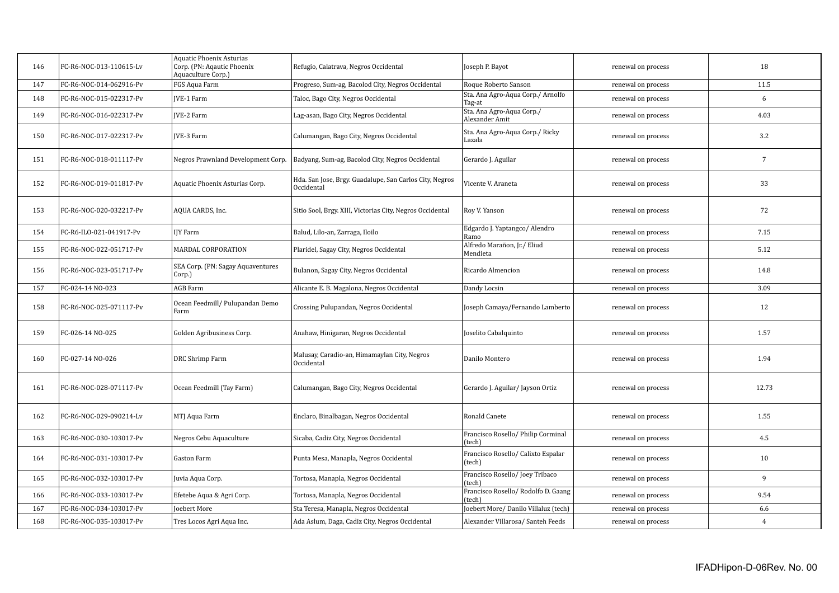| 146 | FC-R6-NOC-013-110615-Lv | <b>Aquatic Phoenix Asturias</b><br>Corp. (PN: Agautic Phoenix<br>Aquaculture Corp.) | Refugio, Calatrava, Negros Occidental                                 | Joseph P. Bayot                               | renewal on process | 18             |
|-----|-------------------------|-------------------------------------------------------------------------------------|-----------------------------------------------------------------------|-----------------------------------------------|--------------------|----------------|
| 147 | FC-R6-NOC-014-062916-Pv | FGS Aqua Farm                                                                       | Progreso, Sum-ag, Bacolod City, Negros Occidental                     | Roque Roberto Sanson                          | renewal on process | 11.5           |
| 148 | FC-R6-NOC-015-022317-Pv | <b>IVE-1 Farm</b>                                                                   | Taloc, Bago City, Negros Occidental                                   | Sta. Ana Agro-Aqua Corp./ Arnolfo<br>Tag-at   | renewal on process | 6              |
| 149 | FC-R6-NOC-016-022317-Pv | <b>IVE-2 Farm</b>                                                                   | Lag-asan, Bago City, Negros Occidental                                | Sta. Ana Agro-Aqua Corp./<br>Alexander Amit   | renewal on process | 4.03           |
| 150 | FC-R6-NOC-017-022317-Pv | <b>IVE-3 Farm</b>                                                                   | Calumangan, Bago City, Negros Occidental                              | Sta. Ana Agro-Aqua Corp./ Ricky<br>Lazala     | renewal on process | 3.2            |
| 151 | FC-R6-NOC-018-011117-Pv | Negros Prawnland Development Corp.                                                  | Badyang, Sum-ag, Bacolod City, Negros Occidental                      | Gerardo J. Aguilar                            | renewal on process | $\overline{7}$ |
| 152 | FC-R6-NOC-019-011817-Pv | Aquatic Phoenix Asturias Corp.                                                      | Hda. San Jose, Brgy. Guadalupe, San Carlos City, Negros<br>Occidental | Vicente V. Araneta                            | renewal on process | 33             |
| 153 | FC-R6-NOC-020-032217-Pv | AQUA CARDS, Inc.                                                                    | Sitio Sool, Brgy. XIII, Victorias City, Negros Occidental             | Roy V. Yanson                                 | renewal on process | 72             |
| 154 | FC-R6-ILO-021-041917-Pv | IJY Farm                                                                            | Balud, Lilo-an, Zarraga, Iloilo                                       | Edgardo J. Yaptangco/ Alendro<br>Ramo         | renewal on process | 7.15           |
| 155 | FC-R6-NOC-022-051717-Pv | MARDAL CORPORATION                                                                  | Plaridel, Sagay City, Negros Occidental                               | Alfredo Marañon, Jr./ Eliud<br>Mendieta       | renewal on process | 5.12           |
| 156 | FC-R6-NOC-023-051717-Pv | SEA Corp. (PN: Sagay Aquaventures<br>Corp.)                                         | Bulanon, Sagay City, Negros Occidental                                | Ricardo Almencion                             | renewal on process | 14.8           |
| 157 | FC-024-14 NO-023        | <b>AGB</b> Farm                                                                     | Alicante E. B. Magalona, Negros Occidental                            | Dandy Locsin                                  | renewal on process | 3.09           |
| 158 | FC-R6-NOC-025-071117-Pv | Ocean Feedmill/ Pulupandan Demo<br>Farm                                             | Crossing Pulupandan, Negros Occidental                                | Joseph Camaya/Fernando Lamberto               | renewal on process | 12             |
| 159 | FC-026-14 NO-025        | Golden Agribusiness Corp.                                                           | Anahaw, Hinigaran, Negros Occidental                                  | Joselito Cabalquinto                          | renewal on process | 1.57           |
| 160 | FC-027-14 NO-026        | DRC Shrimp Farm                                                                     | Malusay, Caradio-an, Himamaylan City, Negros<br>Occidental            | Danilo Montero                                | renewal on process | 1.94           |
| 161 | FC-R6-NOC-028-071117-Pv | Ocean Feedmill (Tay Farm)                                                           | Calumangan, Bago City, Negros Occidental                              | Gerardo J. Aguilar / Jayson Ortiz             | renewal on process | 12.73          |
| 162 | FC-R6-NOC-029-090214-Lv | MTJ Aqua Farm                                                                       | Enclaro, Binalbagan, Negros Occidental                                | Ronald Canete                                 | renewal on process | 1.55           |
| 163 | FC-R6-NOC-030-103017-Pv | Negros Cebu Aquaculture                                                             | Sicaba, Cadiz City, Negros Occidental                                 | Francisco Rosello/ Philip Corminal<br>(tech)  | renewal on process | 4.5            |
| 164 | FC-R6-NOC-031-103017-Pv | Gaston Farm                                                                         | Punta Mesa, Manapla, Negros Occidental                                | Francisco Rosello/ Calixto Espalar<br>(tech)  | renewal on process | 10             |
| 165 | FC-R6-NOC-032-103017-Pv | Juvia Aqua Corp.                                                                    | Tortosa, Manapla, Negros Occidental                                   | Francisco Rosello/Joey Tribaco<br>(tech)      | renewal on process | 9              |
| 166 | FC-R6-NOC-033-103017-Pv | Efetebe Aqua & Agri Corp.                                                           | Tortosa, Manapla, Negros Occidental                                   | Francisco Rosello/ Rodolfo D. Gaang<br>(tech) | renewal on process | 9.54           |
| 167 | FC-R6-NOC-034-103017-Pv | <b>Ioebert More</b>                                                                 | Sta Teresa, Manapla, Negros Occidental                                | Joebert More/ Danilo Villaluz (tech)          | renewal on process | 6.6            |
| 168 | FC-R6-NOC-035-103017-Pv | Tres Locos Agri Aqua Inc.                                                           | Ada Aslum, Daga, Cadiz City, Negros Occidental                        | Alexander Villarosa/Santeh Feeds              | renewal on process | $\overline{4}$ |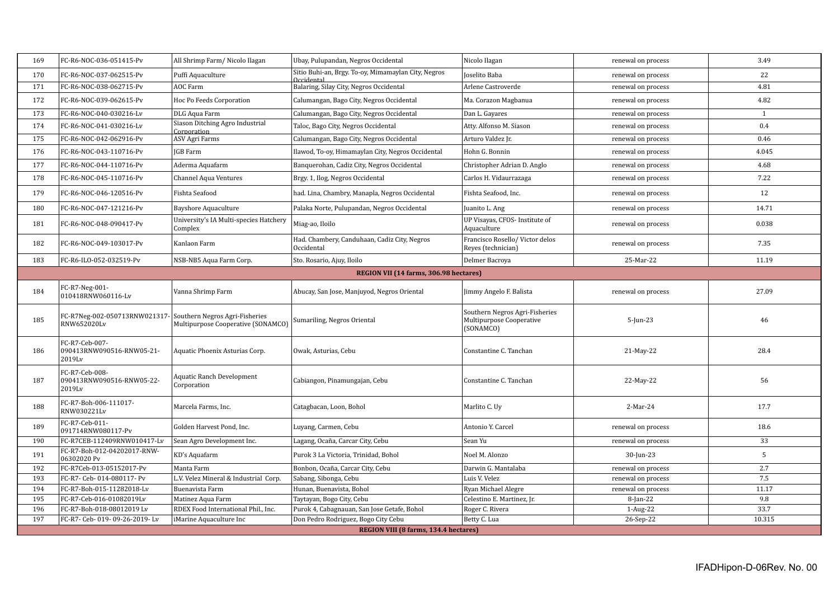| 169 | FC-R6-NOC-036-051415-Pv                                                     | All Shrimp Farm/ Nicolo Ilagan                    | Ubay, Pulupandan, Negros Occidental                               | Nicolo Ilagan                                                           | renewal on process | 3.49         |
|-----|-----------------------------------------------------------------------------|---------------------------------------------------|-------------------------------------------------------------------|-------------------------------------------------------------------------|--------------------|--------------|
| 170 | FC-R6-NOC-037-062515-Pv                                                     | Puffi Aquaculture                                 | Sitio Buhi-an, Brgy. To-oy, Mimamaylan City, Negros<br>Occidental | Joselito Baba                                                           | renewal on process | 22           |
| 171 | FC-R6-NOC-038-062715-Pv                                                     | AOC Farm                                          | Balaring, Silay City, Negros Occidental                           | Arlene Castroverde                                                      | renewal on process | 4.81         |
| 172 | FC-R6-NOC-039-062615-Pv                                                     | Hoc Po Feeds Corporation                          | Calumangan, Bago City, Negros Occidental                          | Ma. Corazon Magbanua                                                    | renewal on process | 4.82         |
| 173 | FC-R6-NOC-040-030216-Lv                                                     | DLG Aqua Farm                                     | Calumangan, Bago City, Negros Occidental                          | Dan L. Gayares                                                          | renewal on process | $\mathbf{1}$ |
| 174 | FC-R6-NOC-041-030216-Lv                                                     | Siason Ditching Agro Industrial<br>Cornoration    | Taloc, Bago City, Negros Occidental                               | Atty. Alfonso M. Siason                                                 | renewal on process | 0.4          |
| 175 | FC-R6-NOC-042-062916-Pv                                                     | ASV Agri Farms                                    | Calumangan, Bago City, Negros Occidental                          | Arturo Valdez Jr.                                                       | renewal on process | 0.46         |
| 176 | FC-R6-NOC-043-110716-Pv                                                     | <b>IGB</b> Farm                                   | Ilawod, To-oy, Himamaylan City, Negros Occidental                 | Hohn G. Bonnin                                                          | renewal on process | 4.045        |
| 177 | FC-R6-NOC-044-110716-Pv                                                     | Aderma Aquafarm                                   | Banquerohan, Cadiz City, Negros Occidental                        | Christopher Adrian D. Anglo                                             | renewal on process | 4.68         |
| 178 | FC-R6-NOC-045-110716-Pv                                                     | <b>Channel Aqua Ventures</b>                      | Brgy. 1, Ilog, Negros Occidental                                  | Carlos H. Vidaurrazaga                                                  | renewal on process | 7.22         |
| 179 | FC-R6-NOC-046-120516-Pv                                                     | Fishta Seafood                                    | had. Lina, Chambry, Manapla, Negros Occidental                    | Fishta Seafood, Inc.                                                    | renewal on process | 12           |
| 180 | FC-R6-NOC-047-121216-Pv                                                     | <b>Bayshore Aquaculture</b>                       | Palaka Norte, Pulupandan, Negros Occidental                       | Juanito L. Ang                                                          | renewal on process | 14.71        |
| 181 | FC-R6-NOC-048-090417-Pv                                                     | University's IA Multi-species Hatchery<br>Complex | Miag-ao, Iloilo                                                   | UP Visayas, CFOS- Institute of<br>Aquaculture                           | renewal on process | 0.038        |
| 182 | FC-R6-NOC-049-103017-Pv                                                     | Kanlaon Farm                                      | Had. Chambery, Canduhaan, Cadiz City, Negros<br>Occidental        | Francisco Rosello/Victor delos<br>Reyes (technician)                    | renewal on process | 7.35         |
| 183 | FC-R6-ILO-052-032519-Pv                                                     | NSB-NB5 Aqua Farm Corp.                           | Sto. Rosario, Ajuy, Iloilo                                        | Delmer Bacroya                                                          | 25-Mar-22          | 11.19        |
|     |                                                                             |                                                   | REGION VII (14 farms, 306.98 hectares)                            |                                                                         |                    |              |
|     | FC-R7-Neg-001-                                                              |                                                   |                                                                   |                                                                         |                    |              |
| 184 | 010418RNW060116-Lv                                                          | Vanna Shrimp Farm                                 | Abucay, San Jose, Manjuyod, Negros Oriental                       | Jimmy Angelo F. Balista                                                 | renewal on process | 27.09        |
| 185 | FC-R7Neg-002-050713RNW021317- Southern Negros Agri-Fisheries<br>RNW652020Lv | Multipurpose Cooperative (SONAMCO)                | Sumariling, Negros Oriental                                       | Southern Negros Agri-Fisheries<br>Multipurpose Cooperative<br>(SONAMCO) | 5-Jun-23           | 46           |
| 186 | FC-R7-Ceb-007-<br>090413RNW090516-RNW05-21-<br>2019Lv                       | Aquatic Phoenix Asturias Corp.                    | Owak, Asturias, Cebu                                              | Constantine C. Tanchan                                                  | 21-May-22          | 28.4         |
| 187 | FC-R7-Ceb-008-<br>090413RNW090516-RNW05-22-<br>2019Lv                       | <b>Aquatic Ranch Development</b><br>Corporation   | Cabiangon, Pinamungajan, Cebu                                     | Constantine C. Tanchan                                                  | 22-May-22          | 56           |
| 188 | FC-R7-Boh-006-111017-<br>RNW030221Lv                                        | Marcela Farms, Inc.                               | Catagbacan, Loon, Bohol                                           | Marlito C. Uy                                                           | 2-Mar-24           | 17.7         |
| 189 | FC-R7-Ceb-011-<br>091714RNW080117-Pv                                        | Golden Harvest Pond, Inc.                         | Luyang, Carmen, Cebu                                              | Antonio Y. Carcel                                                       | renewal on process | 18.6         |
| 190 | FC-R7CEB-112409RNW010417-Lv                                                 | Sean Agro Development Inc.                        | Lagang, Ocaña, Carcar City, Cebu                                  | Sean Yu                                                                 | renewal on process | 33           |
| 191 | FC-R7-Boh-012-04202017-RNW-<br>06302020 Pv                                  | KD's Aquafarm                                     | Purok 3 La Victoria, Trinidad, Bohol                              | Noel M. Alonzo                                                          | $30$ -Jun-23       | 5            |
| 192 | FC-R7Ceb-013-05152017-Pv                                                    | Manta Farm                                        | Bonbon, Ocaña, Carcar City, Cebu                                  | Darwin G. Mantalaba                                                     | renewal on process | 2.7          |
| 193 | FC-R7- Ceb- 014-080117- Pv                                                  | L.V. Velez Mineral & Industrial Corp.             | Sabang, Sibonga, Cebu                                             | Luis V. Velez                                                           | renewal on process | 7.5          |
| 194 | FC-R7-Boh-015-11282018-Lv                                                   | Buenavista Farm                                   | Hunan, Buenavista, Bohol                                          | Ryan Michael Alegre                                                     | renewal on process | 11.17        |
| 195 | FC-R7-Ceb-016-01082019Lv                                                    | Matinez Aqua Farm                                 | Taytayan, Bogo City, Cebu                                         | Celestino E. Martinez, Jr.                                              | 8-Jan-22           | 9.8          |
| 196 | FC-R7-Boh-018-08012019 Lv                                                   | RDEX Food International Phil., Inc.               | Purok 4, Cabagnauan, San Jose Getafe, Bohol                       | Roger C. Rivera                                                         | $1-Aug-22$         | 33.7         |
| 197 | FC-R7- Ceb- 019- 09-26-2019- Lv                                             | iMarine Aquaculture Inc                           | Don Pedro Rodriguez, Bogo City Cebu                               | Betty C. Lua                                                            | 26-Sep-22          | 10.315       |
|     |                                                                             |                                                   | REGION VIII (8 farms, 134.4 hectares)                             |                                                                         |                    |              |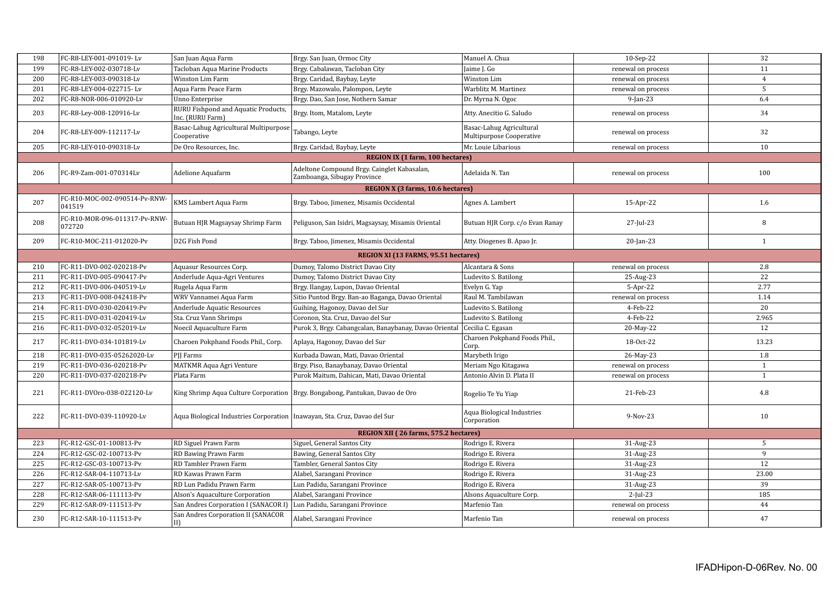| 198 | FC-R8-LEY-001-091019-Lv                 | San Juan Aqua Farm                                                          | Brgy. San Juan, Ormoc City                                                     | Manuel A. Chua                                       | 10-Sep-22          | 32             |
|-----|-----------------------------------------|-----------------------------------------------------------------------------|--------------------------------------------------------------------------------|------------------------------------------------------|--------------------|----------------|
| 199 | FC-R8-LEY-002-030718-Lv                 | Tacloban Aqua Marine Products                                               | Brgy. Cabalawan, Tacloban City                                                 | Jaime J. Go                                          | renewal on process | 11             |
| 200 | FC-R8-LEY-003-090318-Lv                 | Winston Lim Farm                                                            | Brgy. Caridad, Baybay, Leyte                                                   | Winston Lim                                          | renewal on process | $\overline{4}$ |
| 201 | FC-R8-LEY-004-022715-Lv                 | Aqua Farm Peace Farm                                                        | Brgy. Mazowalo, Palompon, Leyte                                                | Warblitz M. Martinez                                 | renewal on process | 5              |
| 202 | FC-R8-NOR-006-010920-Lv                 | Unno Enterprise                                                             | Brgy. Dao, San Jose, Nothern Samar                                             | Dr. Myrna N. Ogoc                                    | $9$ -Jan-23        | 6.4            |
|     |                                         | RURU Fishpond and Aquatic Products,                                         |                                                                                |                                                      |                    |                |
| 203 | FC-R8-Ley-008-120916-Lv                 | Inc. (RURU Farm)                                                            | Brgy. Itom, Matalom, Leyte                                                     | Atty. Anecitio G. Saludo                             | renewal on process | 34             |
| 204 | FC-R8-LEY-009-112117-Lv                 | Basac-Lahug Agricultural Multipurpose<br>Cooperative                        | Tabango, Leyte                                                                 | Basac-Lahug Agricultural<br>Multipurpose Cooperative | renewal on process | 32             |
| 205 | FC-R8-LEY-010-090318-Lv                 | De Oro Resources, Inc.                                                      | Brgy. Caridad, Baybay, Leyte                                                   | Mr. Louie Libarious                                  | renewal on process | 10             |
|     |                                         |                                                                             | <b>REGION IX (1 farm, 100 hectares)</b>                                        |                                                      |                    |                |
| 206 | FC-R9-Zam-001-070314Lv                  | Adelione Aquafarm                                                           | Adeltone Compound Brgy. Cainglet Kabasalan,<br>Zamboanga, Sibugay Province     | Adelaida N. Tan                                      | renewal on process | 100            |
|     |                                         |                                                                             | REGION X (3 farms, 10.6 hectares)                                              |                                                      |                    |                |
| 207 | FC-R10-MOC-002-090514-Pv-RNW-<br>041519 | KMS Lambert Aqua Farm                                                       | Brgy. Taboo, Jimenez, Misamis Occidental                                       | Agnes A. Lambert                                     | 15-Apr-22          | 1.6            |
| 208 | FC-R10-MOR-096-011317-Pv-RNW-<br>072720 | Butuan HJR Magsaysay Shrimp Farm                                            | Peliguson, San Isidri, Magsaysay, Misamis Oriental                             | Butuan HJR Corp. c/o Evan Ranay                      | 27-Jul-23          | 8              |
| 209 | FC-R10-MOC-211-012020-Pv                | D2G Fish Pond                                                               | Brgy. Taboo, Jimenez, Misamis Occidental                                       | Atty. Diogenes B. Apao Jr.                           | $20$ -Jan-23       | 1              |
|     |                                         |                                                                             | REGION XI (13 FARMS, 95.51 hectares)                                           |                                                      |                    |                |
| 210 | FC-R11-DVO-002-020218-Pv                | Aquasur Resources Corp.                                                     | Dumoy, Talomo District Davao City                                              | Alcantara & Sons                                     | renewal on process | 2.8            |
| 211 | FC-R11-DVO-005-090417-Pv                | Anderlude Aqua-Agri Ventures                                                | Dumoy, Talomo District Davao City                                              | Ludevito S. Batilong                                 | 25-Aug-23          | 22             |
| 212 | FC-R11-DVO-006-040519-Lv                | Rugela Aqua Farm                                                            | Brgy. Ilangay, Lupon, Davao Oriental                                           | Evelyn G. Yap                                        | 5-Apr-22           | 2.77           |
| 213 | FC-R11-DVO-008-042418-Pv                | WRV Vannamei Aqua Farm                                                      | Sitio Puntod Brgy. Ban-ao Baganga, Davao Oriental                              | Raul M. Tambilawan                                   | renewal on process | 1.14           |
| 214 | FC-R11-DVO-030-020419-Pv                | Anderlude Aquatic Resources                                                 | Guihing, Hagonoy, Davao del Sur                                                | Ludevito S. Batilong                                 | 4-Feb-22           | 20             |
| 215 | FC-R11-DVO-031-020419-Lv                | Sta. Cruz Vann Shrimps                                                      | Coronon, Sta. Cruz, Davao del Sur                                              | Ludevito S. Batilong                                 | 4-Feb-22           | 2.965          |
| 216 | FC-R11-DVO-032-052019-Lv                | Noecil Aquaculture Farm                                                     | Purok 3, Brgy. Cabangcalan, Banaybanay, Davao Oriental   Cecilia C. Egasan     |                                                      | 20-May-22          | 12             |
| 217 | FC-R11-DVO-034-101819-Lv                | Charoen Pokphand Foods Phil., Corp.                                         | Aplaya, Hagonoy, Davao del Sur                                                 | Charoen Pokphand Foods Phil.,<br>Corp.               | 18-Oct-22          | 13.23          |
| 218 | FC-R11-DVO-035-05262020-Lv              | PII Farms                                                                   | Kurbada Dawan, Mati, Davao Oriental                                            | Marybeth Irigo                                       | 26-May-23          | 1.8            |
| 219 | FC-R11-DVO-036-020218-Pv                | MATKMR Aqua Agri Venture                                                    | Brgy. Piso, Banaybanay, Davao Oriental                                         | Meriam Ngo Kitagawa                                  | renewal on process | $\mathbf{1}$   |
| 220 | FC-R11-DVO-037-020218-Pv                | Plata Farm                                                                  | Purok Maitum, Dahican, Mati, Davao Oriental                                    | Antonio Alvin D. Plata II                            | renewal on process | $\mathbf{1}$   |
| 221 | FC-R11-DVOro-038-022120-Lv              |                                                                             | King Shrimp Aqua Culture Corporation   Brgy. Bongabong, Pantukan, Davao de Oro | Rogelio Te Yu Yiap                                   | 21-Feb-23          | 4.8            |
| 222 | FC-R11-DVO-039-110920-Lv                | Aqua Biological Industries Corporation   Inawayan, Sta. Cruz, Davao del Sur |                                                                                | Aqua Biological Industries<br>Corporation            | 9-Nov-23           | 10             |
|     |                                         |                                                                             | REGION XII (26 farms, 575.2 hectares)                                          |                                                      |                    |                |
| 223 | FC-R12-GSC-01-100813-Pv                 | RD Siguel Prawn Farm                                                        | Siguel, General Santos City                                                    | Rodrigo E. Rivera                                    | 31-Aug-23          | 5              |
| 224 | FC-R12-GSC-02-100713-Pv                 | RD Bawing Prawn Farm                                                        | Bawing, General Santos City                                                    | Rodrigo E. Rivera                                    | 31-Aug-23          | 9              |
| 225 | FC-R12-GSC-03-100713-Pv                 | RD Tambler Prawn Farm                                                       | Tambler, General Santos City                                                   | Rodrigo E. Rivera                                    | 31-Aug-23          | 12             |
| 226 | FC-R12-SAR-04-110713-Lv                 | RD Kawas Prawn Farm                                                         | Alabel, Sarangani Province                                                     | Rodrigo E. Rivera                                    | 31-Aug-23          | 23.00          |
| 227 | FC-R12-SAR-05-100713-Pv                 | RD Lun Padidu Prawn Farm                                                    | Lun Padidu, Sarangani Province                                                 | Rodrigo E. Rivera                                    | 31-Aug-23          | 39             |
| 228 | FC-R12-SAR-06-111113-Pv                 | Alson's Aquaculture Corporation                                             | Alabel, Sarangani Province                                                     | Alsons Aquaculture Corp.                             | $2$ -Jul-23        | 185            |
| 229 | FC-R12-SAR-09-111513-Pv                 | San Andres Corporation I (SANACOR I)                                        | Lun Padidu, Sarangani Province                                                 | Marfenio Tan                                         | renewal on process | 44             |
| 230 | FC-R12-SAR-10-111513-Pv                 | San Andres Corporation II (SANACOR<br>ID                                    | Alabel, Sarangani Province                                                     | Marfenio Tan                                         | renewal on process | 47             |